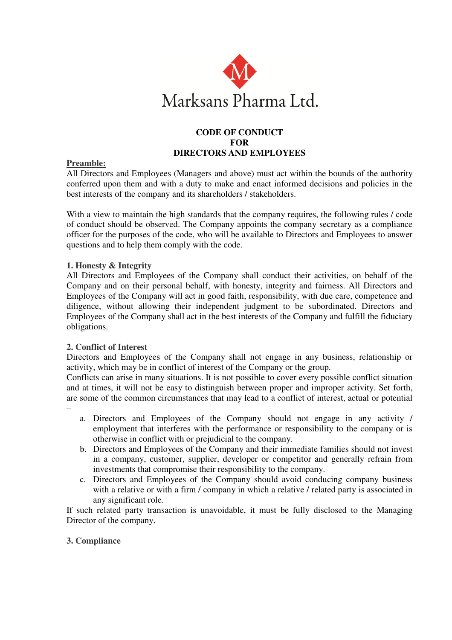

## **CODE OF CONDUCT FOR DIRECTORS AND EMPLOYEES**

## **Preamble:**

All Directors and Employees (Managers and above) must act within the bounds of the authority conferred upon them and with a duty to make and enact informed decisions and policies in the best interests of the company and its shareholders / stakeholders.

With a view to maintain the high standards that the company requires, the following rules / code of conduct should be observed. The Company appoints the company secretary as a compliance officer for the purposes of the code, who will be available to Directors and Employees to answer questions and to help them comply with the code.

## **1. Honesty & Integrity**

All Directors and Employees of the Company shall conduct their activities, on behalf of the Company and on their personal behalf, with honesty, integrity and fairness. All Directors and Employees of the Company will act in good faith, responsibility, with due care, competence and diligence, without allowing their independent judgment to be subordinated. Directors and Employees of the Company shall act in the best interests of the Company and fulfill the fiduciary obligations.

# **2. Conflict of Interest**

–

Directors and Employees of the Company shall not engage in any business, relationship or activity, which may be in conflict of interest of the Company or the group.

Conflicts can arise in many situations. It is not possible to cover every possible conflict situation and at times, it will not be easy to distinguish between proper and improper activity. Set forth, are some of the common circumstances that may lead to a conflict of interest, actual or potential

- a. Directors and Employees of the Company should not engage in any activity / employment that interferes with the performance or responsibility to the company or is otherwise in conflict with or prejudicial to the company.
- b. Directors and Employees of the Company and their immediate families should not invest in a company, customer, supplier, developer or competitor and generally refrain from investments that compromise their responsibility to the company.
- c. Directors and Employees of the Company should avoid conducing company business with a relative or with a firm / company in which a relative / related party is associated in any significant role.

If such related party transaction is unavoidable, it must be fully disclosed to the Managing Director of the company.

## **3. Compliance**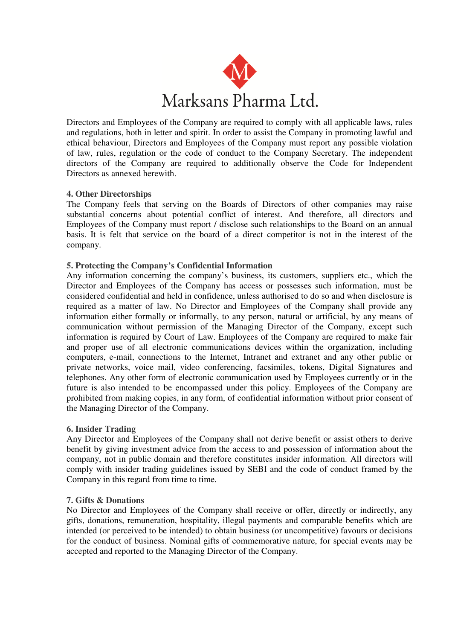

Directors and Employees of the Company are required to comply with all applicable laws, rules and regulations, both in letter and spirit. In order to assist the Company in promoting lawful and ethical behaviour, Directors and Employees of the Company must report any possible violation of law, rules, regulation or the code of conduct to the Company Secretary. The independent directors of the Company are required to additionally observe the Code for Independent Directors as annexed herewith.

## **4. Other Directorships**

The Company feels that serving on the Boards of Directors of other companies may raise substantial concerns about potential conflict of interest. And therefore, all directors and Employees of the Company must report / disclose such relationships to the Board on an annual basis. It is felt that service on the board of a direct competitor is not in the interest of the company.

## **5. Protecting the Company's Confidential Information**

Any information concerning the company's business, its customers, suppliers etc., which the Director and Employees of the Company has access or possesses such information, must be considered confidential and held in confidence, unless authorised to do so and when disclosure is required as a matter of law. No Director and Employees of the Company shall provide any information either formally or informally, to any person, natural or artificial, by any means of communication without permission of the Managing Director of the Company, except such information is required by Court of Law. Employees of the Company are required to make fair and proper use of all electronic communications devices within the organization, including computers, e-mail, connections to the Internet, Intranet and extranet and any other public or private networks, voice mail, video conferencing, facsimiles, tokens, Digital Signatures and telephones. Any other form of electronic communication used by Employees currently or in the future is also intended to be encompassed under this policy. Employees of the Company are prohibited from making copies, in any form, of confidential information without prior consent of the Managing Director of the Company.

## **6. Insider Trading**

Any Director and Employees of the Company shall not derive benefit or assist others to derive benefit by giving investment advice from the access to and possession of information about the company, not in public domain and therefore constitutes insider information. All directors will comply with insider trading guidelines issued by SEBI and the code of conduct framed by the Company in this regard from time to time.

## **7. Gifts & Donations**

No Director and Employees of the Company shall receive or offer, directly or indirectly, any gifts, donations, remuneration, hospitality, illegal payments and comparable benefits which are intended (or perceived to be intended) to obtain business (or uncompetitive) favours or decisions for the conduct of business. Nominal gifts of commemorative nature, for special events may be accepted and reported to the Managing Director of the Company.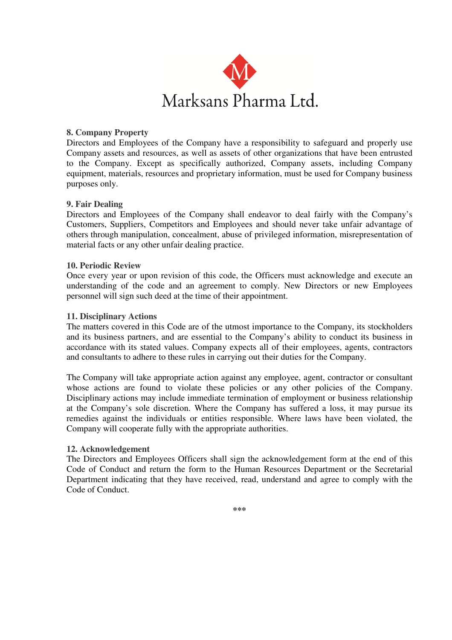

## **8. Company Property**

Directors and Employees of the Company have a responsibility to safeguard and properly use Company assets and resources, as well as assets of other organizations that have been entrusted to the Company. Except as specifically authorized, Company assets, including Company equipment, materials, resources and proprietary information, must be used for Company business purposes only.

## **9. Fair Dealing**

Directors and Employees of the Company shall endeavor to deal fairly with the Company's Customers, Suppliers, Competitors and Employees and should never take unfair advantage of others through manipulation, concealment, abuse of privileged information, misrepresentation of material facts or any other unfair dealing practice.

#### **10. Periodic Review**

Once every year or upon revision of this code, the Officers must acknowledge and execute an understanding of the code and an agreement to comply. New Directors or new Employees personnel will sign such deed at the time of their appointment.

#### **11. Disciplinary Actions**

The matters covered in this Code are of the utmost importance to the Company, its stockholders and its business partners, and are essential to the Company's ability to conduct its business in accordance with its stated values. Company expects all of their employees, agents, contractors and consultants to adhere to these rules in carrying out their duties for the Company.

The Company will take appropriate action against any employee, agent, contractor or consultant whose actions are found to violate these policies or any other policies of the Company. Disciplinary actions may include immediate termination of employment or business relationship at the Company's sole discretion. Where the Company has suffered a loss, it may pursue its remedies against the individuals or entities responsible. Where laws have been violated, the Company will cooperate fully with the appropriate authorities.

#### **12. Acknowledgement**

The Directors and Employees Officers shall sign the acknowledgement form at the end of this Code of Conduct and return the form to the Human Resources Department or the Secretarial Department indicating that they have received, read, understand and agree to comply with the Code of Conduct.

**\*\*\***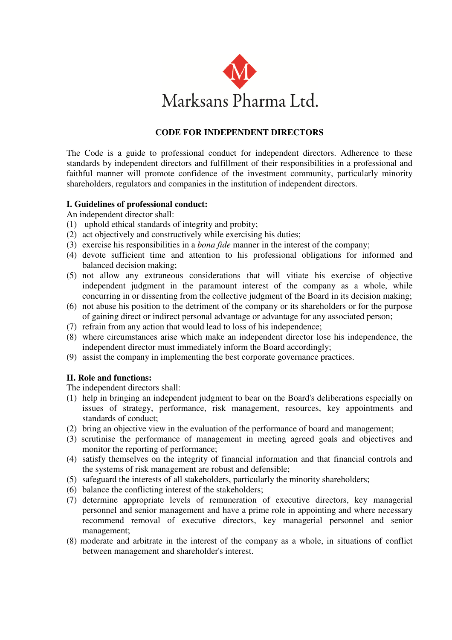

# **CODE FOR INDEPENDENT DIRECTORS**

The Code is a guide to professional conduct for independent directors. Adherence to these standards by independent directors and fulfillment of their responsibilities in a professional and faithful manner will promote confidence of the investment community, particularly minority shareholders, regulators and companies in the institution of independent directors.

## **I. Guidelines of professional conduct:**

An independent director shall:

- (1) uphold ethical standards of integrity and probity;
- (2) act objectively and constructively while exercising his duties;
- (3) exercise his responsibilities in a *bona fide* manner in the interest of the company;
- (4) devote sufficient time and attention to his professional obligations for informed and balanced decision making;
- (5) not allow any extraneous considerations that will vitiate his exercise of objective independent judgment in the paramount interest of the company as a whole, while concurring in or dissenting from the collective judgment of the Board in its decision making;
- (6) not abuse his position to the detriment of the company or its shareholders or for the purpose of gaining direct or indirect personal advantage or advantage for any associated person;
- (7) refrain from any action that would lead to loss of his independence;
- (8) where circumstances arise which make an independent director lose his independence, the independent director must immediately inform the Board accordingly;
- (9) assist the company in implementing the best corporate governance practices.

## **II. Role and functions:**

The independent directors shall:

- (1) help in bringing an independent judgment to bear on the Board's deliberations especially on issues of strategy, performance, risk management, resources, key appointments and standards of conduct;
- (2) bring an objective view in the evaluation of the performance of board and management;
- (3) scrutinise the performance of management in meeting agreed goals and objectives and monitor the reporting of performance;
- (4) satisfy themselves on the integrity of financial information and that financial controls and the systems of risk management are robust and defensible;
- (5) safeguard the interests of all stakeholders, particularly the minority shareholders;
- (6) balance the conflicting interest of the stakeholders;
- (7) determine appropriate levels of remuneration of executive directors, key managerial personnel and senior management and have a prime role in appointing and where necessary recommend removal of executive directors, key managerial personnel and senior management;
- (8) moderate and arbitrate in the interest of the company as a whole, in situations of conflict between management and shareholder's interest.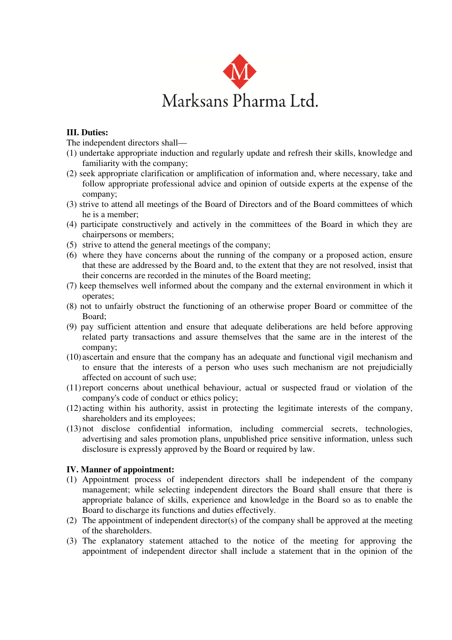

## **III. Duties:**

The independent directors shall—

- (1) undertake appropriate induction and regularly update and refresh their skills, knowledge and familiarity with the company;
- (2) seek appropriate clarification or amplification of information and, where necessary, take and follow appropriate professional advice and opinion of outside experts at the expense of the company;
- (3) strive to attend all meetings of the Board of Directors and of the Board committees of which he is a member;
- (4) participate constructively and actively in the committees of the Board in which they are chairpersons or members;
- (5) strive to attend the general meetings of the company;
- (6) where they have concerns about the running of the company or a proposed action, ensure that these are addressed by the Board and, to the extent that they are not resolved, insist that their concerns are recorded in the minutes of the Board meeting;
- (7) keep themselves well informed about the company and the external environment in which it operates;
- (8) not to unfairly obstruct the functioning of an otherwise proper Board or committee of the Board;
- (9) pay sufficient attention and ensure that adequate deliberations are held before approving related party transactions and assure themselves that the same are in the interest of the company;
- (10) ascertain and ensure that the company has an adequate and functional vigil mechanism and to ensure that the interests of a person who uses such mechanism are not prejudicially affected on account of such use;
- (11) report concerns about unethical behaviour, actual or suspected fraud or violation of the company's code of conduct or ethics policy;
- (12) acting within his authority, assist in protecting the legitimate interests of the company, shareholders and its employees;
- (13) not disclose confidential information, including commercial secrets, technologies, advertising and sales promotion plans, unpublished price sensitive information, unless such disclosure is expressly approved by the Board or required by law.

## **IV. Manner of appointment:**

- (1) Appointment process of independent directors shall be independent of the company management; while selecting independent directors the Board shall ensure that there is appropriate balance of skills, experience and knowledge in the Board so as to enable the Board to discharge its functions and duties effectively.
- (2) The appointment of independent director(s) of the company shall be approved at the meeting of the shareholders.
- (3) The explanatory statement attached to the notice of the meeting for approving the appointment of independent director shall include a statement that in the opinion of the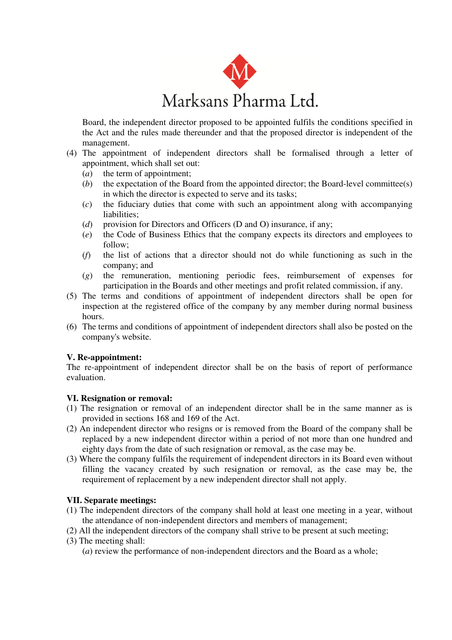

Board, the independent director proposed to be appointed fulfils the conditions specified in the Act and the rules made thereunder and that the proposed director is independent of the management.

- (4) The appointment of independent directors shall be formalised through a letter of appointment, which shall set out:
	- (*a*) the term of appointment;
	- (*b*) the expectation of the Board from the appointed director; the Board-level committee(s) in which the director is expected to serve and its tasks;
	- (*c*) the fiduciary duties that come with such an appointment along with accompanying liabilities;
	- (*d*) provision for Directors and Officers (D and O) insurance, if any;
	- (*e*) the Code of Business Ethics that the company expects its directors and employees to follow;
	- (*f*) the list of actions that a director should not do while functioning as such in the company; and
	- (*g*) the remuneration, mentioning periodic fees, reimbursement of expenses for participation in the Boards and other meetings and profit related commission, if any.
- (5) The terms and conditions of appointment of independent directors shall be open for inspection at the registered office of the company by any member during normal business hours.
- (6) The terms and conditions of appointment of independent directors shall also be posted on the company's website.

# **V. Re-appointment:**

The re-appointment of independent director shall be on the basis of report of performance evaluation.

## **VI. Resignation or removal:**

- (1) The resignation or removal of an independent director shall be in the same manner as is provided in sections 168 and 169 of the Act.
- (2) An independent director who resigns or is removed from the Board of the company shall be replaced by a new independent director within a period of not more than one hundred and eighty days from the date of such resignation or removal, as the case may be.
- (3) Where the company fulfils the requirement of independent directors in its Board even without filling the vacancy created by such resignation or removal, as the case may be, the requirement of replacement by a new independent director shall not apply.

# **VII. Separate meetings:**

- (1) The independent directors of the company shall hold at least one meeting in a year, without the attendance of non-independent directors and members of management;
- (2) All the independent directors of the company shall strive to be present at such meeting;
- (3) The meeting shall:
	- (*a*) review the performance of non-independent directors and the Board as a whole;